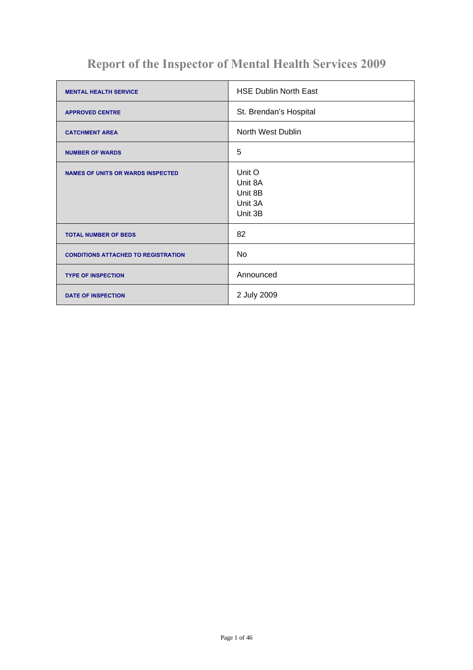# **Report of the Inspector of Mental Health Services 2009**

| <b>MENTAL HEALTH SERVICE</b>               | <b>HSE Dublin North East</b>                       |
|--------------------------------------------|----------------------------------------------------|
| <b>APPROVED CENTRE</b>                     | St. Brendan's Hospital                             |
| <b>CATCHMENT AREA</b>                      | North West Dublin                                  |
| <b>NUMBER OF WARDS</b>                     | 5                                                  |
| <b>NAMES OF UNITS OR WARDS INSPECTED</b>   | Unit O<br>Unit 8A<br>Unit 8B<br>Unit 3A<br>Unit 3B |
| <b>TOTAL NUMBER OF BEDS</b>                | 82                                                 |
| <b>CONDITIONS ATTACHED TO REGISTRATION</b> | No                                                 |
| <b>TYPE OF INSPECTION</b>                  | Announced                                          |
| <b>DATE OF INSPECTION</b>                  | 2 July 2009                                        |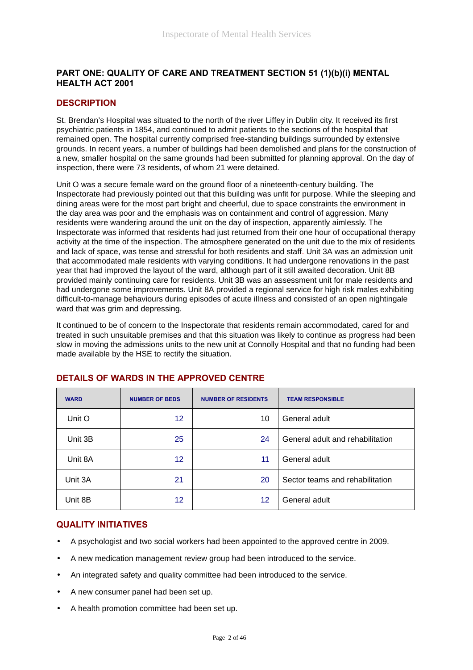# **PART ONE: QUALITY OF CARE AND TREATMENT SECTION 51 (1)(b)(i) MENTAL HEALTH ACT 2001**

# **DESCRIPTION**

St. Brendan's Hospital was situated to the north of the river Liffey in Dublin city. It received its first psychiatric patients in 1854, and continued to admit patients to the sections of the hospital that remained open. The hospital currently comprised free-standing buildings surrounded by extensive grounds. In recent years, a number of buildings had been demolished and plans for the construction of a new, smaller hospital on the same grounds had been submitted for planning approval. On the day of inspection, there were 73 residents, of whom 21 were detained.

Unit O was a secure female ward on the ground floor of a nineteenth-century building. The Inspectorate had previously pointed out that this building was unfit for purpose. While the sleeping and dining areas were for the most part bright and cheerful, due to space constraints the environment in the day area was poor and the emphasis was on containment and control of aggression. Many residents were wandering around the unit on the day of inspection, apparently aimlessly. The Inspectorate was informed that residents had just returned from their one hour of occupational therapy activity at the time of the inspection. The atmosphere generated on the unit due to the mix of residents and lack of space, was tense and stressful for both residents and staff. Unit 3A was an admission unit that accommodated male residents with varying conditions. It had undergone renovations in the past year that had improved the layout of the ward, although part of it still awaited decoration. Unit 8B provided mainly continuing care for residents. Unit 3B was an assessment unit for male residents and had undergone some improvements. Unit 8A provided a regional service for high risk males exhibiting difficult-to-manage behaviours during episodes of acute illness and consisted of an open nightingale ward that was grim and depressing.

It continued to be of concern to the Inspectorate that residents remain accommodated, cared for and treated in such unsuitable premises and that this situation was likely to continue as progress had been slow in moving the admissions units to the new unit at Connolly Hospital and that no funding had been made available by the HSE to rectify the situation.

| <b>WARD</b> | <b>NUMBER OF BEDS</b> | <b>NUMBER OF RESIDENTS</b> | <b>TEAM RESPONSIBLE</b>          |
|-------------|-----------------------|----------------------------|----------------------------------|
| Unit O      | 12                    | 10                         | General adult                    |
| Unit 3B     | 25                    | 24                         | General adult and rehabilitation |
| Unit 8A     | 12 <sup>2</sup>       | 11                         | General adult                    |
| Unit 3A     | 21                    | 20                         | Sector teams and rehabilitation  |
| Unit 8B     | 12                    | $12 \,$                    | General adult                    |

# **DETAILS OF WARDS IN THE APPROVED CENTRE**

### **QUALITY INITIATIVES**

- A psychologist and two social workers had been appointed to the approved centre in 2009.
- A new medication management review group had been introduced to the service.
- An integrated safety and quality committee had been introduced to the service.
- A new consumer panel had been set up.
- A health promotion committee had been set up.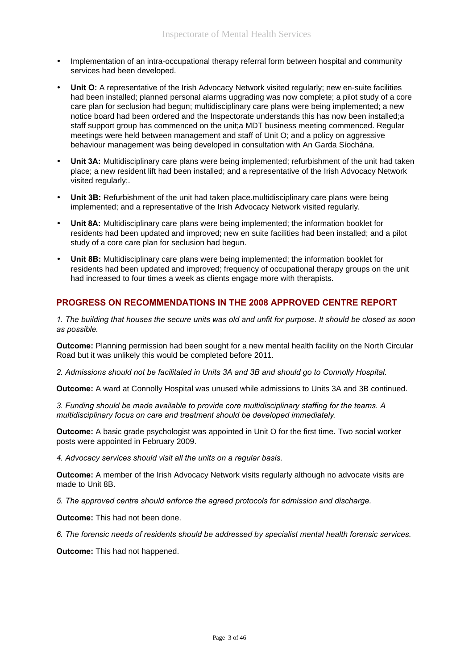- Implementation of an intra-occupational therapy referral form between hospital and community services had been developed.
- **Unit O:** A representative of the Irish Advocacy Network visited regularly; new en-suite facilities had been installed; planned personal alarms upgrading was now complete; a pilot study of a core care plan for seclusion had begun; multidisciplinary care plans were being implemented; a new notice board had been ordered and the Inspectorate understands this has now been installed;a staff support group has commenced on the unit;a MDT business meeting commenced. Regular meetings were held between management and staff of Unit O; and a policy on aggressive behaviour management was being developed in consultation with An Garda Síochána.
- **Unit 3A:** Multidisciplinary care plans were being implemented; refurbishment of the unit had taken place; a new resident lift had been installed; and a representative of the Irish Advocacy Network visited regularly:
- **Unit 3B:** Refurbishment of the unit had taken place.multidisciplinary care plans were being implemented; and a representative of the Irish Advocacy Network visited regularly.
- **Unit 8A:** Multidisciplinary care plans were being implemented; the information booklet for residents had been updated and improved; new en suite facilities had been installed; and a pilot study of a core care plan for seclusion had begun.
- **Unit 8B:** Multidisciplinary care plans were being implemented; the information booklet for residents had been updated and improved; frequency of occupational therapy groups on the unit had increased to four times a week as clients engage more with therapists.

### **PROGRESS ON RECOMMENDATIONS IN THE 2008 APPROVED CENTRE REPORT**

*1. The building that houses the secure units was old and unfit for purpose. It should be closed as soon as possible.*

**Outcome:** Planning permission had been sought for a new mental health facility on the North Circular Road but it was unlikely this would be completed before 2011.

*2. Admissions should not be facilitated in Units 3A and 3B and should go to Connolly Hospital.*

**Outcome:** A ward at Connolly Hospital was unused while admissions to Units 3A and 3B continued.

*3. Funding should be made available to provide core multidisciplinary staffing for the teams. A multidisciplinary focus on care and treatment should be developed immediately.*

**Outcome:** A basic grade psychologist was appointed in Unit O for the first time. Two social worker posts were appointed in February 2009.

*4. Advocacy services should visit all the units on a regular basis.*

**Outcome:** A member of the Irish Advocacy Network visits regularly although no advocate visits are made to Unit 8B.

*5. The approved centre should enforce the agreed protocols for admission and discharge.*

**Outcome:** This had not been done.

*6. The forensic needs of residents should be addressed by specialist mental health forensic services.*

**Outcome:** This had not happened.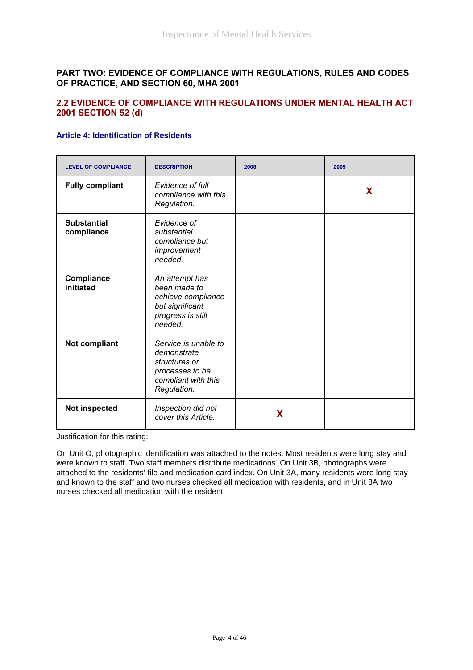### **PART TWO: EVIDENCE OF COMPLIANCE WITH REGULATIONS, RULES AND CODES OF PRACTICE, AND SECTION 60, MHA 2001**

### **2.2 EVIDENCE OF COMPLIANCE WITH REGULATIONS UNDER MENTAL HEALTH ACT 2001 SECTION 52 (d)**

### **Article 4: Identification of Residents**

| <b>LEVEL OF COMPLIANCE</b>       | <b>DESCRIPTION</b>                                                                                            | 2008 | 2009 |
|----------------------------------|---------------------------------------------------------------------------------------------------------------|------|------|
| <b>Fully compliant</b>           | Evidence of full<br>compliance with this<br>Regulation.                                                       |      | X    |
| <b>Substantial</b><br>compliance | Evidence of<br>substantial<br>compliance but<br>improvement<br>needed.                                        |      |      |
| Compliance<br>initiated          | An attempt has<br>been made to<br>achieve compliance<br>but significant<br>progress is still<br>needed.       |      |      |
| Not compliant                    | Service is unable to<br>demonstrate<br>structures or<br>processes to be<br>compliant with this<br>Regulation. |      |      |
| Not inspected                    | Inspection did not<br>cover this Article.                                                                     | X    |      |

Justification for this rating:

On Unit O, photographic identification was attached to the notes. Most residents were long stay and were known to staff. Two staff members distribute medications. On Unit 3B, photographs were attached to the residents' file and medication card index. On Unit 3A, many residents were long stay and known to the staff and two nurses checked all medication with residents, and in Unit 8A two nurses checked all medication with the resident.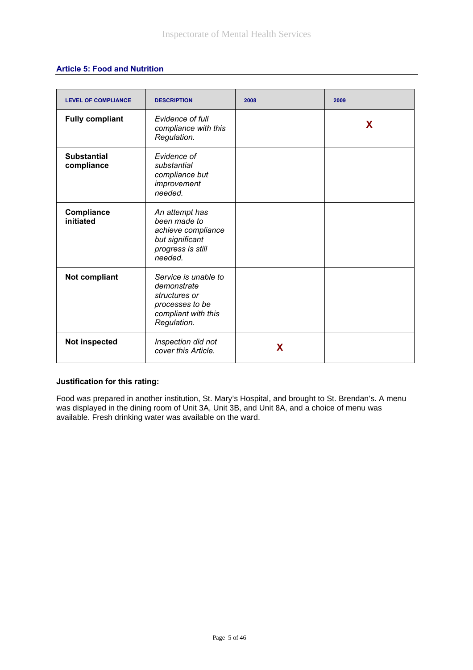### **Article 5: Food and Nutrition**

| <b>LEVEL OF COMPLIANCE</b>       | <b>DESCRIPTION</b>                                                                                            | 2008 | 2009 |
|----------------------------------|---------------------------------------------------------------------------------------------------------------|------|------|
| <b>Fully compliant</b>           | Evidence of full<br>compliance with this<br>Regulation.                                                       |      | X    |
| <b>Substantial</b><br>compliance | Evidence of<br>substantial<br>compliance but<br>improvement<br>needed.                                        |      |      |
| Compliance<br>initiated          | An attempt has<br>been made to<br>achieve compliance<br>but significant<br>progress is still<br>needed.       |      |      |
| <b>Not compliant</b>             | Service is unable to<br>demonstrate<br>structures or<br>processes to be<br>compliant with this<br>Regulation. |      |      |
| Not inspected                    | Inspection did not<br>cover this Article.                                                                     | X    |      |

#### **Justification for this rating:**

Food was prepared in another institution, St. Mary's Hospital, and brought to St. Brendan's. A menu was displayed in the dining room of Unit 3A, Unit 3B, and Unit 8A, and a choice of menu was available. Fresh drinking water was available on the ward.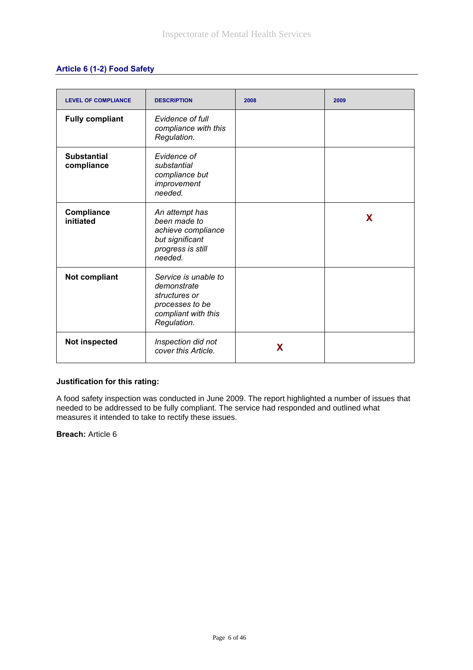### **Article 6 (1-2) Food Safety**

| <b>LEVEL OF COMPLIANCE</b>       | <b>DESCRIPTION</b>                                                                                            | 2008 | 2009 |
|----------------------------------|---------------------------------------------------------------------------------------------------------------|------|------|
| <b>Fully compliant</b>           | Evidence of full<br>compliance with this<br>Regulation.                                                       |      |      |
| <b>Substantial</b><br>compliance | Evidence of<br>substantial<br>compliance but<br>improvement<br>needed.                                        |      |      |
| Compliance<br>initiated          | An attempt has<br>been made to<br>achieve compliance<br>but significant<br>progress is still<br>needed.       |      | X    |
| Not compliant                    | Service is unable to<br>demonstrate<br>structures or<br>processes to be<br>compliant with this<br>Regulation. |      |      |
| Not inspected                    | Inspection did not<br>cover this Article.                                                                     | X    |      |

#### **Justification for this rating:**

A food safety inspection was conducted in June 2009. The report highlighted a number of issues that needed to be addressed to be fully compliant. The service had responded and outlined what measures it intended to take to rectify these issues.

**Breach:** Article 6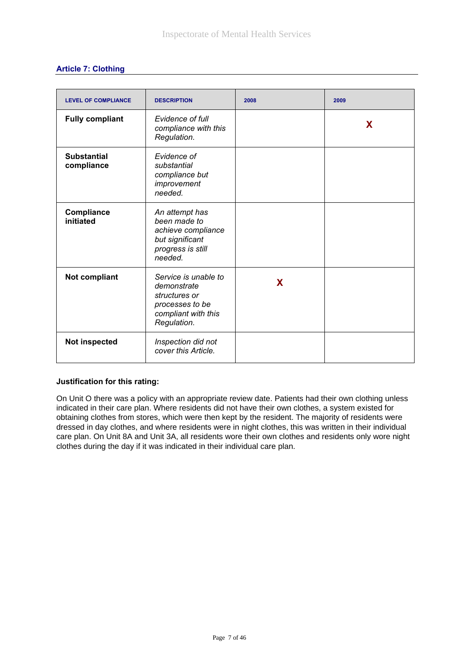| <b>LEVEL OF COMPLIANCE</b>       | <b>DESCRIPTION</b>                                                                                            | 2008 | 2009 |
|----------------------------------|---------------------------------------------------------------------------------------------------------------|------|------|
| <b>Fully compliant</b>           | Evidence of full<br>compliance with this<br>Regulation.                                                       |      | X    |
| <b>Substantial</b><br>compliance | Evidence of<br>substantial<br>compliance but<br>improvement<br>needed.                                        |      |      |
| Compliance<br>initiated          | An attempt has<br>been made to<br>achieve compliance<br>but significant<br>progress is still<br>needed.       |      |      |
| <b>Not compliant</b>             | Service is unable to<br>demonstrate<br>structures or<br>processes to be<br>compliant with this<br>Regulation. | X    |      |
| <b>Not inspected</b>             | Inspection did not<br>cover this Article.                                                                     |      |      |

#### **Justification for this rating:**

On Unit O there was a policy with an appropriate review date. Patients had their own clothing unless indicated in their care plan. Where residents did not have their own clothes, a system existed for obtaining clothes from stores, which were then kept by the resident. The majority of residents were dressed in day clothes, and where residents were in night clothes, this was written in their individual care plan. On Unit 8A and Unit 3A, all residents wore their own clothes and residents only wore night clothes during the day if it was indicated in their individual care plan.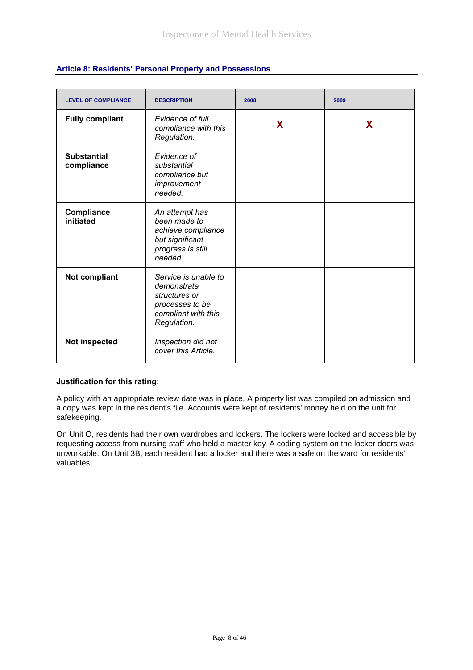| <b>LEVEL OF COMPLIANCE</b>       | <b>DESCRIPTION</b>                                                                                            | 2008 | 2009 |
|----------------------------------|---------------------------------------------------------------------------------------------------------------|------|------|
| <b>Fully compliant</b>           | Evidence of full<br>compliance with this<br>Regulation.                                                       | X    | X    |
| <b>Substantial</b><br>compliance | Evidence of<br>substantial<br>compliance but<br>improvement<br>needed.                                        |      |      |
| Compliance<br>initiated          | An attempt has<br>been made to<br>achieve compliance<br>but significant<br>progress is still<br>needed.       |      |      |
| Not compliant                    | Service is unable to<br>demonstrate<br>structures or<br>processes to be<br>compliant with this<br>Regulation. |      |      |
| Not inspected                    | Inspection did not<br>cover this Article.                                                                     |      |      |

### **Article 8: Residents' Personal Property and Possessions**

#### **Justification for this rating:**

A policy with an appropriate review date was in place. A property list was compiled on admission and a copy was kept in the resident's file. Accounts were kept of residents' money held on the unit for safekeeping.

On Unit O, residents had their own wardrobes and lockers. The lockers were locked and accessible by requesting access from nursing staff who held a master key. A coding system on the locker doors was unworkable. On Unit 3B, each resident had a locker and there was a safe on the ward for residents' valuables.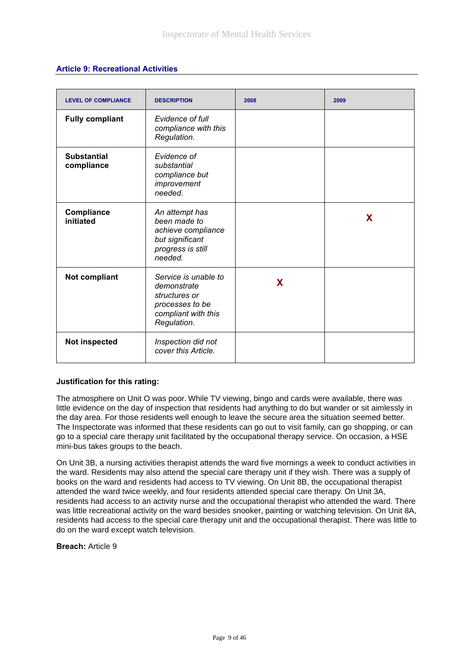### **Article 9: Recreational Activities**

| <b>LEVEL OF COMPLIANCE</b>       | <b>DESCRIPTION</b>                                                                                            | 2008 | 2009 |
|----------------------------------|---------------------------------------------------------------------------------------------------------------|------|------|
| <b>Fully compliant</b>           | Evidence of full<br>compliance with this<br>Regulation.                                                       |      |      |
| <b>Substantial</b><br>compliance | Evidence of<br>substantial<br>compliance but<br>improvement<br>needed.                                        |      |      |
| Compliance<br>initiated          | An attempt has<br>been made to<br>achieve compliance<br>but significant<br>progress is still<br>needed.       |      | X    |
| <b>Not compliant</b>             | Service is unable to<br>demonstrate<br>structures or<br>processes to be<br>compliant with this<br>Regulation. | X    |      |
| Not inspected                    | Inspection did not<br>cover this Article.                                                                     |      |      |

#### **Justification for this rating:**

The atmosphere on Unit O was poor. While TV viewing, bingo and cards were available, there was little evidence on the day of inspection that residents had anything to do but wander or sit aimlessly in the day area. For those residents well enough to leave the secure area the situation seemed better. The Inspectorate was informed that these residents can go out to visit family, can go shopping, or can go to a special care therapy unit facilitated by the occupational therapy service. On occasion, a HSE mini-bus takes groups to the beach.

On Unit 3B, a nursing activities therapist attends the ward five mornings a week to conduct activities in the ward. Residents may also attend the special care therapy unit if they wish. There was a supply of books on the ward and residents had access to TV viewing. On Unit 8B, the occupational therapist attended the ward twice weekly, and four residents attended special care therapy. On Unit 3A, residents had access to an activity nurse and the occupational therapist who attended the ward. There was little recreational activity on the ward besides snooker, painting or watching television. On Unit 8A, residents had access to the special care therapy unit and the occupational therapist. There was little to do on the ward except watch television.

**Breach:** Article 9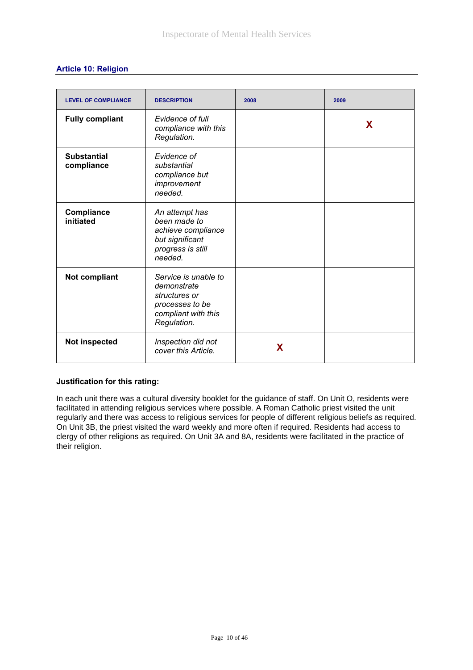| <b>LEVEL OF COMPLIANCE</b>       | <b>DESCRIPTION</b>                                                                                            | 2008 | 2009 |
|----------------------------------|---------------------------------------------------------------------------------------------------------------|------|------|
| <b>Fully compliant</b>           | Evidence of full<br>compliance with this<br>Regulation.                                                       |      | X    |
| <b>Substantial</b><br>compliance | Evidence of<br>substantial<br>compliance but<br>improvement<br>needed.                                        |      |      |
| Compliance<br>initiated          | An attempt has<br>been made to<br>achieve compliance<br>but significant<br>progress is still<br>needed.       |      |      |
| Not compliant                    | Service is unable to<br>demonstrate<br>structures or<br>processes to be<br>compliant with this<br>Regulation. |      |      |
| Not inspected                    | Inspection did not<br>cover this Article.                                                                     | X    |      |

# **Article 10: Religion**

### **Justification for this rating:**

In each unit there was a cultural diversity booklet for the guidance of staff. On Unit O, residents were facilitated in attending religious services where possible. A Roman Catholic priest visited the unit regularly and there was access to religious services for people of different religious beliefs as required. On Unit 3B, the priest visited the ward weekly and more often if required. Residents had access to clergy of other religions as required. On Unit 3A and 8A, residents were facilitated in the practice of their religion.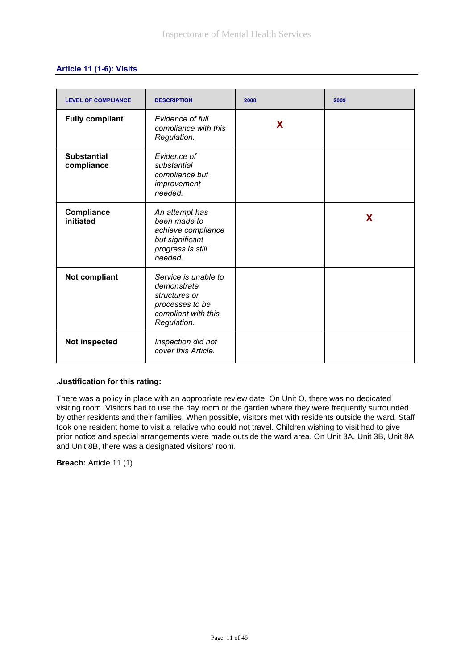# **Article 11 (1-6): Visits**

| <b>LEVEL OF COMPLIANCE</b>       | <b>DESCRIPTION</b>                                                                                            | 2008 | 2009 |
|----------------------------------|---------------------------------------------------------------------------------------------------------------|------|------|
| <b>Fully compliant</b>           | Evidence of full<br>compliance with this<br>Regulation.                                                       | X    |      |
| <b>Substantial</b><br>compliance | Evidence of<br>substantial<br>compliance but<br>improvement<br>needed.                                        |      |      |
| Compliance<br>initiated          | An attempt has<br>been made to<br>achieve compliance<br>but significant<br>progress is still<br>needed.       |      | X    |
| <b>Not compliant</b>             | Service is unable to<br>demonstrate<br>structures or<br>processes to be<br>compliant with this<br>Regulation. |      |      |
| Not inspected                    | Inspection did not<br>cover this Article.                                                                     |      |      |

#### **.Justification for this rating:**

There was a policy in place with an appropriate review date. On Unit O, there was no dedicated visiting room. Visitors had to use the day room or the garden where they were frequently surrounded by other residents and their families. When possible, visitors met with residents outside the ward. Staff took one resident home to visit a relative who could not travel. Children wishing to visit had to give prior notice and special arrangements were made outside the ward area. On Unit 3A, Unit 3B, Unit 8A and Unit 8B, there was a designated visitors' room.

**Breach:** Article 11 (1)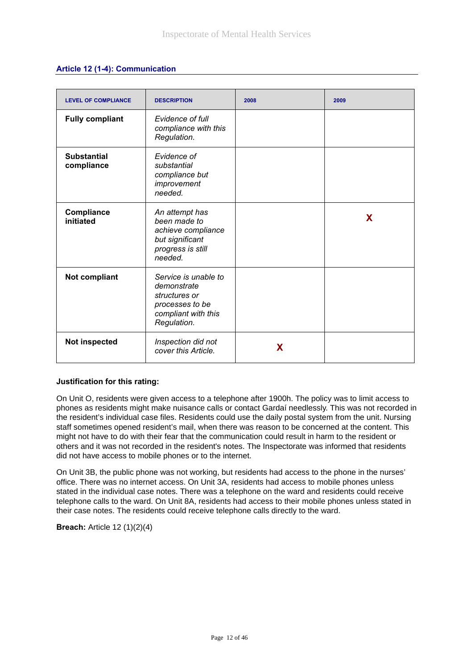|  |  | Article 12 (1-4): Communication |
|--|--|---------------------------------|
|--|--|---------------------------------|

| <b>LEVEL OF COMPLIANCE</b>       | <b>DESCRIPTION</b>                                                                                            | 2008 | 2009 |
|----------------------------------|---------------------------------------------------------------------------------------------------------------|------|------|
| <b>Fully compliant</b>           | Evidence of full<br>compliance with this<br>Regulation.                                                       |      |      |
| <b>Substantial</b><br>compliance | Evidence of<br>substantial<br>compliance but<br>improvement<br>needed.                                        |      |      |
| Compliance<br>initiated          | An attempt has<br>been made to<br>achieve compliance<br>but significant<br>progress is still<br>needed.       |      | X.   |
| Not compliant                    | Service is unable to<br>demonstrate<br>structures or<br>processes to be<br>compliant with this<br>Regulation. |      |      |
| Not inspected                    | Inspection did not<br>cover this Article.                                                                     | X    |      |

#### **Justification for this rating:**

On Unit O, residents were given access to a telephone after 1900h. The policy was to limit access to phones as residents might make nuisance calls or contact Gardaí needlessly. This was not recorded in the resident's individual case files. Residents could use the daily postal system from the unit. Nursing staff sometimes opened resident's mail, when there was reason to be concerned at the content. This might not have to do with their fear that the communication could result in harm to the resident or others and it was not recorded in the resident's notes. The Inspectorate was informed that residents did not have access to mobile phones or to the internet.

On Unit 3B, the public phone was not working, but residents had access to the phone in the nurses' office. There was no internet access. On Unit 3A, residents had access to mobile phones unless stated in the individual case notes. There was a telephone on the ward and residents could receive telephone calls to the ward. On Unit 8A, residents had access to their mobile phones unless stated in their case notes. The residents could receive telephone calls directly to the ward.

**Breach:** Article 12 (1)(2)(4)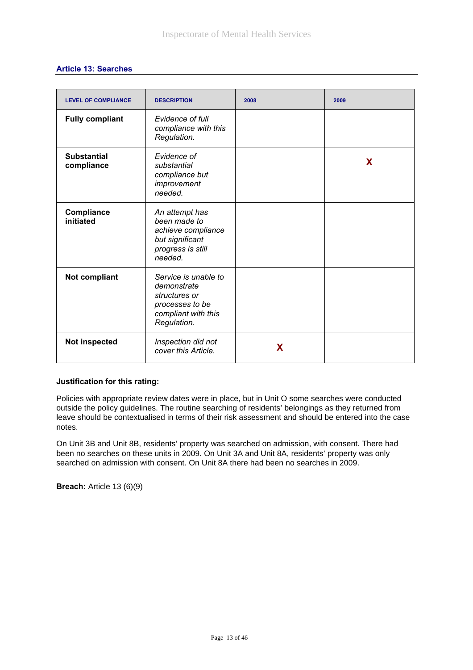| <b>LEVEL OF COMPLIANCE</b>       | <b>DESCRIPTION</b>                                                                                            | 2008 | 2009 |
|----------------------------------|---------------------------------------------------------------------------------------------------------------|------|------|
| <b>Fully compliant</b>           | Evidence of full<br>compliance with this<br>Regulation.                                                       |      |      |
| <b>Substantial</b><br>compliance | Evidence of<br>substantial<br>compliance but<br>improvement<br>needed.                                        |      | X    |
| Compliance<br>initiated          | An attempt has<br>been made to<br>achieve compliance<br>but significant<br>progress is still<br>needed.       |      |      |
| Not compliant                    | Service is unable to<br>demonstrate<br>structures or<br>processes to be<br>compliant with this<br>Regulation. |      |      |
| Not inspected                    | Inspection did not<br>cover this Article.                                                                     | X    |      |

# **Article 13: Searches**

#### **Justification for this rating:**

Policies with appropriate review dates were in place, but in Unit O some searches were conducted outside the policy guidelines. The routine searching of residents' belongings as they returned from leave should be contextualised in terms of their risk assessment and should be entered into the case notes.

On Unit 3B and Unit 8B, residents' property was searched on admission, with consent. There had been no searches on these units in 2009. On Unit 3A and Unit 8A, residents' property was only searched on admission with consent. On Unit 8A there had been no searches in 2009.

**Breach:** Article 13 (6)(9)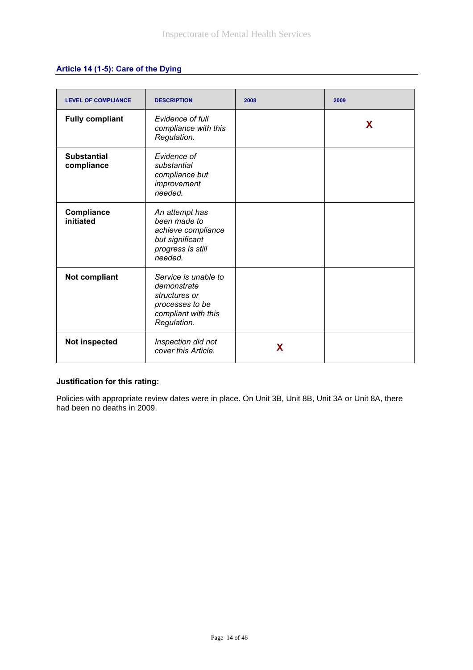# **Article 14 (1-5): Care of the Dying**

| <b>LEVEL OF COMPLIANCE</b>       | <b>DESCRIPTION</b>                                                                                            | 2008 | 2009 |
|----------------------------------|---------------------------------------------------------------------------------------------------------------|------|------|
| <b>Fully compliant</b>           | Evidence of full<br>compliance with this<br>Regulation.                                                       |      | X    |
| <b>Substantial</b><br>compliance | Evidence of<br>substantial<br>compliance but<br>improvement<br>needed.                                        |      |      |
| Compliance<br>initiated          | An attempt has<br>been made to<br>achieve compliance<br>but significant<br>progress is still<br>needed.       |      |      |
| <b>Not compliant</b>             | Service is unable to<br>demonstrate<br>structures or<br>processes to be<br>compliant with this<br>Regulation. |      |      |
| Not inspected                    | Inspection did not<br>cover this Article.                                                                     | X    |      |

### **Justification for this rating:**

Policies with appropriate review dates were in place. On Unit 3B, Unit 8B, Unit 3A or Unit 8A, there had been no deaths in 2009.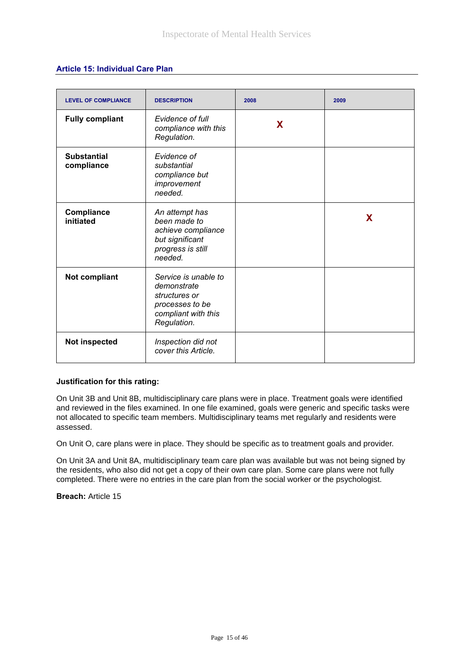### **Article 15: Individual Care Plan**

| <b>LEVEL OF COMPLIANCE</b>       | <b>DESCRIPTION</b>                                                                                            | 2008 | 2009 |
|----------------------------------|---------------------------------------------------------------------------------------------------------------|------|------|
| <b>Fully compliant</b>           | Evidence of full<br>compliance with this<br>Regulation.                                                       | X    |      |
| <b>Substantial</b><br>compliance | Evidence of<br>substantial<br>compliance but<br>improvement<br>needed.                                        |      |      |
| Compliance<br>initiated          | An attempt has<br>been made to<br>achieve compliance<br>but significant<br>progress is still<br>needed.       |      | X    |
| <b>Not compliant</b>             | Service is unable to<br>demonstrate<br>structures or<br>processes to be<br>compliant with this<br>Regulation. |      |      |
| Not inspected                    | Inspection did not<br>cover this Article.                                                                     |      |      |

#### **Justification for this rating:**

On Unit 3B and Unit 8B, multidisciplinary care plans were in place. Treatment goals were identified and reviewed in the files examined. In one file examined, goals were generic and specific tasks were not allocated to specific team members. Multidisciplinary teams met regularly and residents were assessed.

On Unit O, care plans were in place. They should be specific as to treatment goals and provider.

On Unit 3A and Unit 8A, multidisciplinary team care plan was available but was not being signed by the residents, who also did not get a copy of their own care plan. Some care plans were not fully completed. There were no entries in the care plan from the social worker or the psychologist.

**Breach:** Article 15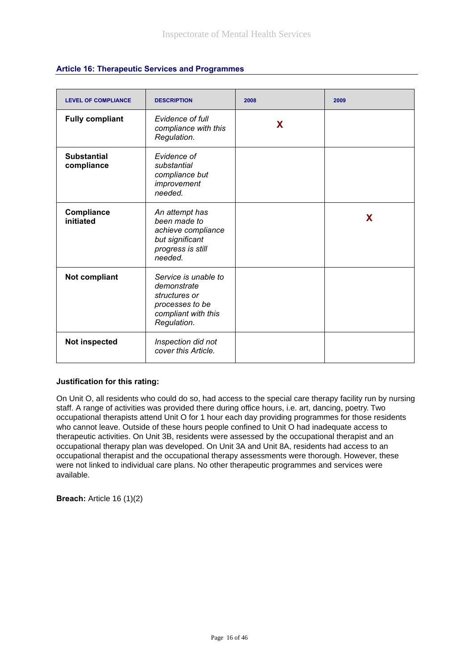| <b>LEVEL OF COMPLIANCE</b>       | <b>DESCRIPTION</b>                                                                                            | 2008 | 2009 |
|----------------------------------|---------------------------------------------------------------------------------------------------------------|------|------|
| <b>Fully compliant</b>           | Evidence of full<br>compliance with this<br>Regulation.                                                       | X    |      |
| <b>Substantial</b><br>compliance | Evidence of<br>substantial<br>compliance but<br>improvement<br>needed.                                        |      |      |
| Compliance<br>initiated          | An attempt has<br>been made to<br>achieve compliance<br>but significant<br>progress is still<br>needed.       |      | X    |
| <b>Not compliant</b>             | Service is unable to<br>demonstrate<br>structures or<br>processes to be<br>compliant with this<br>Regulation. |      |      |
| Not inspected                    | Inspection did not<br>cover this Article.                                                                     |      |      |

### **Article 16: Therapeutic Services and Programmes**

#### **Justification for this rating:**

On Unit O, all residents who could do so, had access to the special care therapy facility run by nursing staff. A range of activities was provided there during office hours, i.e. art, dancing, poetry. Two occupational therapists attend Unit O for 1 hour each day providing programmes for those residents who cannot leave. Outside of these hours people confined to Unit O had inadequate access to therapeutic activities. On Unit 3B, residents were assessed by the occupational therapist and an occupational therapy plan was developed. On Unit 3A and Unit 8A, residents had access to an occupational therapist and the occupational therapy assessments were thorough. However, these were not linked to individual care plans. No other therapeutic programmes and services were available.

**Breach:** Article 16 (1)(2)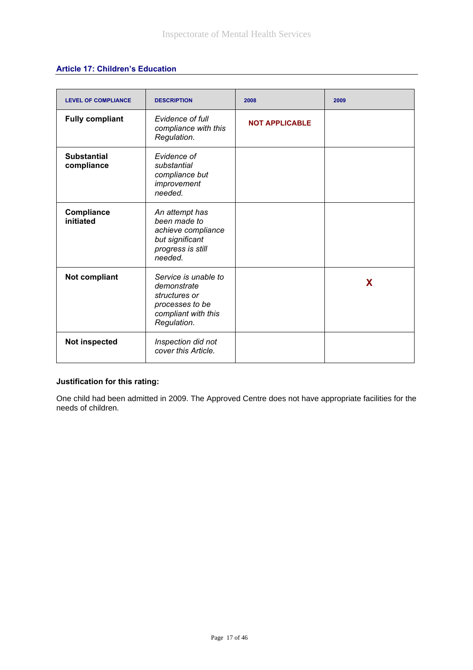# **Article 17: Children's Education**

| <b>LEVEL OF COMPLIANCE</b>       | <b>DESCRIPTION</b>                                                                                            | 2008                  | 2009 |
|----------------------------------|---------------------------------------------------------------------------------------------------------------|-----------------------|------|
| <b>Fully compliant</b>           | Evidence of full<br>compliance with this<br>Regulation.                                                       | <b>NOT APPLICABLE</b> |      |
| <b>Substantial</b><br>compliance | Evidence of<br>substantial<br>compliance but<br>improvement<br>needed.                                        |                       |      |
| Compliance<br>initiated          | An attempt has<br>been made to<br>achieve compliance<br>but significant<br>progress is still<br>needed.       |                       |      |
| Not compliant                    | Service is unable to<br>demonstrate<br>structures or<br>processes to be<br>compliant with this<br>Regulation. |                       | X    |
| <b>Not inspected</b>             | Inspection did not<br>cover this Article.                                                                     |                       |      |

# **Justification for this rating:**

One child had been admitted in 2009. The Approved Centre does not have appropriate facilities for the needs of children.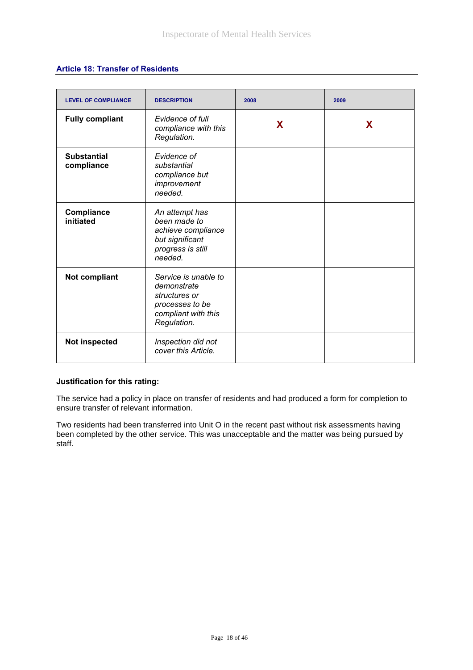# **Article 18: Transfer of Residents**

| <b>LEVEL OF COMPLIANCE</b>       | <b>DESCRIPTION</b>                                                                                            | 2008 | 2009 |
|----------------------------------|---------------------------------------------------------------------------------------------------------------|------|------|
| <b>Fully compliant</b>           | Evidence of full<br>compliance with this<br>Regulation.                                                       | X    | X    |
| <b>Substantial</b><br>compliance | Evidence of<br>substantial<br>compliance but<br>improvement<br>needed.                                        |      |      |
| Compliance<br>initiated          | An attempt has<br>been made to<br>achieve compliance<br>but significant<br>progress is still<br>needed.       |      |      |
| Not compliant                    | Service is unable to<br>demonstrate<br>structures or<br>processes to be<br>compliant with this<br>Regulation. |      |      |
| Not inspected                    | Inspection did not<br>cover this Article.                                                                     |      |      |

#### **Justification for this rating:**

The service had a policy in place on transfer of residents and had produced a form for completion to ensure transfer of relevant information.

Two residents had been transferred into Unit O in the recent past without risk assessments having been completed by the other service. This was unacceptable and the matter was being pursued by staff.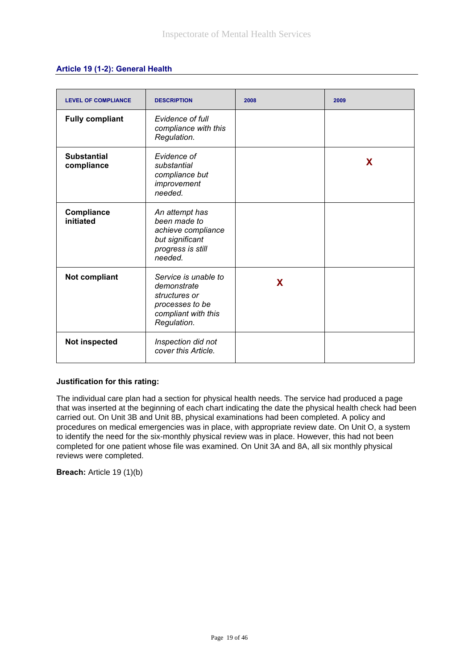### **Article 19 (1-2): General Health**

| <b>LEVEL OF COMPLIANCE</b>       | <b>DESCRIPTION</b>                                                                                            | 2008 | 2009 |
|----------------------------------|---------------------------------------------------------------------------------------------------------------|------|------|
| <b>Fully compliant</b>           | Evidence of full<br>compliance with this<br>Regulation.                                                       |      |      |
| <b>Substantial</b><br>compliance | Evidence of<br>substantial<br>compliance but<br>improvement<br>needed.                                        |      | X    |
| Compliance<br>initiated          | An attempt has<br>been made to<br>achieve compliance<br>but significant<br>progress is still<br>needed.       |      |      |
| Not compliant                    | Service is unable to<br>demonstrate<br>structures or<br>processes to be<br>compliant with this<br>Regulation. | X    |      |
| Not inspected                    | Inspection did not<br>cover this Article.                                                                     |      |      |

#### **Justification for this rating:**

The individual care plan had a section for physical health needs. The service had produced a page that was inserted at the beginning of each chart indicating the date the physical health check had been carried out. On Unit 3B and Unit 8B, physical examinations had been completed. A policy and procedures on medical emergencies was in place, with appropriate review date. On Unit O, a system to identify the need for the six-monthly physical review was in place. However, this had not been completed for one patient whose file was examined. On Unit 3A and 8A, all six monthly physical reviews were completed.

**Breach:** Article 19 (1)(b)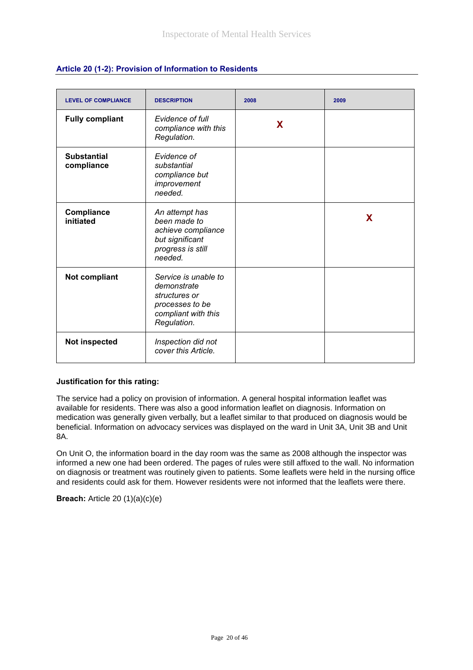| <b>LEVEL OF COMPLIANCE</b>       | <b>DESCRIPTION</b>                                                                                            | 2008 | 2009 |
|----------------------------------|---------------------------------------------------------------------------------------------------------------|------|------|
| <b>Fully compliant</b>           | Evidence of full<br>compliance with this<br>Regulation.                                                       | X    |      |
| <b>Substantial</b><br>compliance | Evidence of<br>substantial<br>compliance but<br>improvement<br>needed.                                        |      |      |
| Compliance<br>initiated          | An attempt has<br>been made to<br>achieve compliance<br>but significant<br>progress is still<br>needed.       |      | X.   |
| Not compliant                    | Service is unable to<br>demonstrate<br>structures or<br>processes to be<br>compliant with this<br>Regulation. |      |      |
| Not inspected                    | Inspection did not<br>cover this Article.                                                                     |      |      |

### **Article 20 (1-2): Provision of Information to Residents**

#### **Justification for this rating:**

The service had a policy on provision of information. A general hospital information leaflet was available for residents. There was also a good information leaflet on diagnosis. Information on medication was generally given verbally, but a leaflet similar to that produced on diagnosis would be beneficial. Information on advocacy services was displayed on the ward in Unit 3A, Unit 3B and Unit 8A.

On Unit O, the information board in the day room was the same as 2008 although the inspector was informed a new one had been ordered. The pages of rules were still affixed to the wall. No information on diagnosis or treatment was routinely given to patients. Some leaflets were held in the nursing office and residents could ask for them. However residents were not informed that the leaflets were there.

**Breach:** Article 20 (1)(a)(c)(e)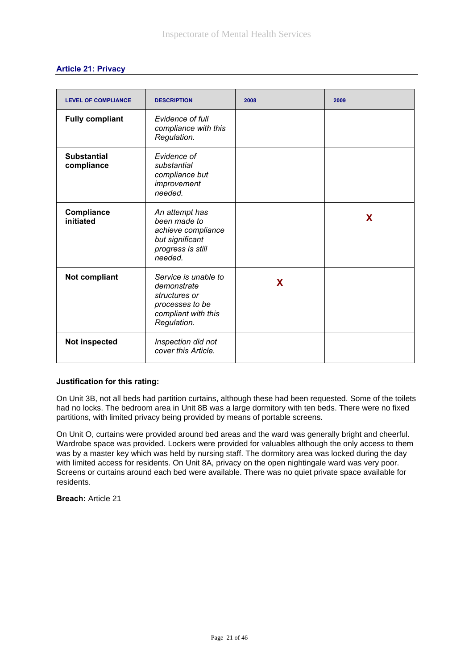| <b>Article 21: Privacy</b> |  |  |
|----------------------------|--|--|
|                            |  |  |

| <b>LEVEL OF COMPLIANCE</b>       | <b>DESCRIPTION</b>                                                                                            | 2008 | 2009 |
|----------------------------------|---------------------------------------------------------------------------------------------------------------|------|------|
| <b>Fully compliant</b>           | Evidence of full<br>compliance with this<br>Regulation.                                                       |      |      |
| <b>Substantial</b><br>compliance | Evidence of<br>substantial<br>compliance but<br>improvement<br>needed.                                        |      |      |
| Compliance<br>initiated          | An attempt has<br>been made to<br>achieve compliance<br>but significant<br>progress is still<br>needed.       |      | X    |
| Not compliant                    | Service is unable to<br>demonstrate<br>structures or<br>processes to be<br>compliant with this<br>Regulation. | X    |      |
| <b>Not inspected</b>             | Inspection did not<br>cover this Article.                                                                     |      |      |

#### **Justification for this rating:**

On Unit 3B, not all beds had partition curtains, although these had been requested. Some of the toilets had no locks. The bedroom area in Unit 8B was a large dormitory with ten beds. There were no fixed partitions, with limited privacy being provided by means of portable screens.

On Unit O, curtains were provided around bed areas and the ward was generally bright and cheerful. Wardrobe space was provided. Lockers were provided for valuables although the only access to them was by a master key which was held by nursing staff. The dormitory area was locked during the day with limited access for residents. On Unit 8A, privacy on the open nightingale ward was very poor. Screens or curtains around each bed were available. There was no quiet private space available for residents.

**Breach:** Article 21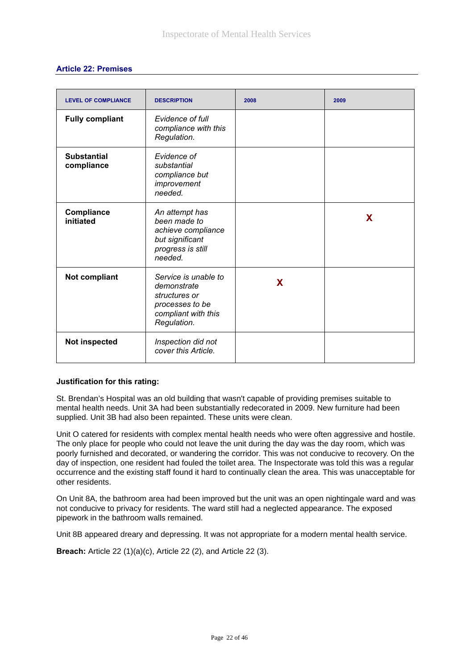| <b>LEVEL OF COMPLIANCE</b>       | <b>DESCRIPTION</b>                                                                                            | 2008 | 2009 |
|----------------------------------|---------------------------------------------------------------------------------------------------------------|------|------|
| <b>Fully compliant</b>           | Evidence of full<br>compliance with this<br>Regulation.                                                       |      |      |
| <b>Substantial</b><br>compliance | Evidence of<br>substantial<br>compliance but<br>improvement<br>needed.                                        |      |      |
| Compliance<br>initiated          | An attempt has<br>been made to<br>achieve compliance<br>but significant<br>progress is still<br>needed.       |      | X    |
| Not compliant                    | Service is unable to<br>demonstrate<br>structures or<br>processes to be<br>compliant with this<br>Regulation. | X    |      |
| Not inspected                    | Inspection did not<br>cover this Article.                                                                     |      |      |

#### **Justification for this rating:**

St. Brendan's Hospital was an old building that wasn't capable of providing premises suitable to mental health needs. Unit 3A had been substantially redecorated in 2009. New furniture had been supplied. Unit 3B had also been repainted. These units were clean.

Unit O catered for residents with complex mental health needs who were often aggressive and hostile. The only place for people who could not leave the unit during the day was the day room, which was poorly furnished and decorated, or wandering the corridor. This was not conducive to recovery. On the day of inspection, one resident had fouled the toilet area. The Inspectorate was told this was a regular occurrence and the existing staff found it hard to continually clean the area. This was unacceptable for other residents.

On Unit 8A, the bathroom area had been improved but the unit was an open nightingale ward and was not conducive to privacy for residents. The ward still had a neglected appearance. The exposed pipework in the bathroom walls remained.

Unit 8B appeared dreary and depressing. It was not appropriate for a modern mental health service.

**Breach:** Article 22 (1)(a)(c), Article 22 (2), and Article 22 (3).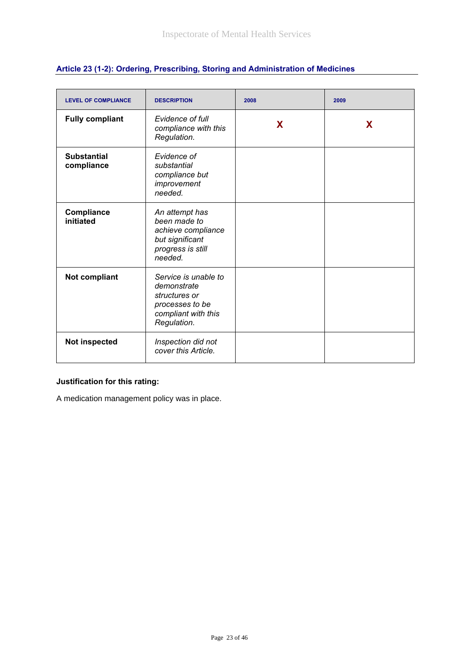| <b>LEVEL OF COMPLIANCE</b>       | <b>DESCRIPTION</b>                                                                                            | 2008 | 2009 |
|----------------------------------|---------------------------------------------------------------------------------------------------------------|------|------|
| <b>Fully compliant</b>           | Evidence of full<br>compliance with this<br>Regulation.                                                       | X    | X    |
| <b>Substantial</b><br>compliance | Evidence of<br>substantial<br>compliance but<br>improvement<br>needed.                                        |      |      |
| Compliance<br>initiated          | An attempt has<br>been made to<br>achieve compliance<br>but significant<br>progress is still<br>needed.       |      |      |
| Not compliant                    | Service is unable to<br>demonstrate<br>structures or<br>processes to be<br>compliant with this<br>Regulation. |      |      |
| Not inspected                    | Inspection did not<br>cover this Article.                                                                     |      |      |

# **Article 23 (1-2): Ordering, Prescribing, Storing and Administration of Medicines**

# **Justification for this rating:**

A medication management policy was in place.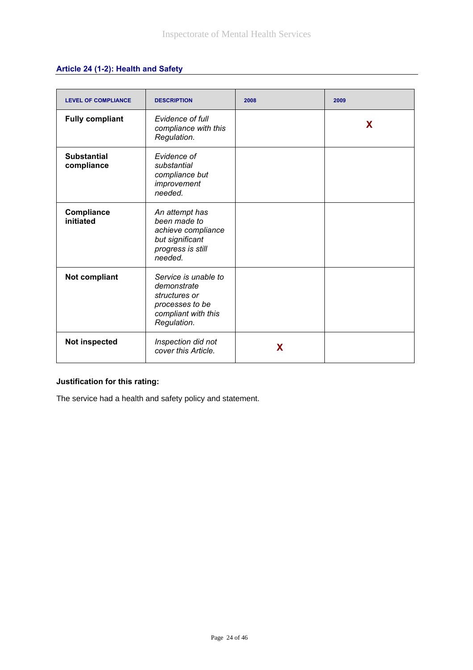# **Article 24 (1-2): Health and Safety**

| <b>LEVEL OF COMPLIANCE</b>       | <b>DESCRIPTION</b>                                                                                            | 2008 | 2009 |
|----------------------------------|---------------------------------------------------------------------------------------------------------------|------|------|
| <b>Fully compliant</b>           | Evidence of full<br>compliance with this<br>Regulation.                                                       |      | X    |
| <b>Substantial</b><br>compliance | Evidence of<br>substantial<br>compliance but<br>improvement<br>needed.                                        |      |      |
| Compliance<br>initiated          | An attempt has<br>been made to<br>achieve compliance<br>but significant<br>progress is still<br>needed.       |      |      |
| Not compliant                    | Service is unable to<br>demonstrate<br>structures or<br>processes to be<br>compliant with this<br>Regulation. |      |      |
| Not inspected                    | Inspection did not<br>cover this Article.                                                                     | X    |      |

# **Justification for this rating:**

The service had a health and safety policy and statement.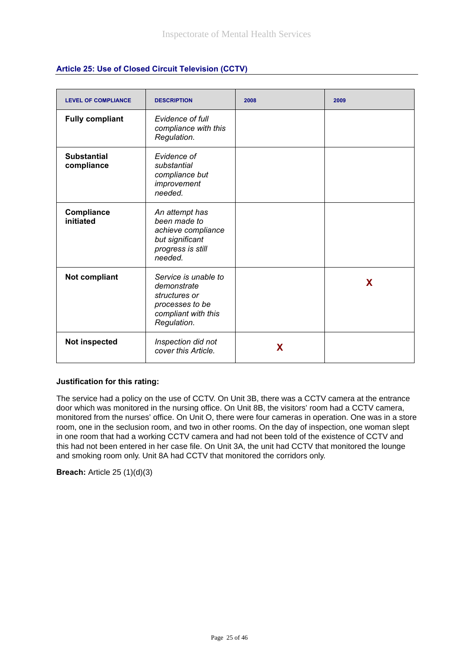| <b>LEVEL OF COMPLIANCE</b>       | <b>DESCRIPTION</b>                                                                                            | 2008 | 2009 |
|----------------------------------|---------------------------------------------------------------------------------------------------------------|------|------|
| <b>Fully compliant</b>           | Evidence of full<br>compliance with this<br>Regulation.                                                       |      |      |
| <b>Substantial</b><br>compliance | Evidence of<br>substantial<br>compliance but<br>improvement<br>needed.                                        |      |      |
| Compliance<br>initiated          | An attempt has<br>been made to<br>achieve compliance<br>but significant<br>progress is still<br>needed.       |      |      |
| Not compliant                    | Service is unable to<br>demonstrate<br>structures or<br>processes to be<br>compliant with this<br>Regulation. |      | X    |
| <b>Not inspected</b>             | Inspection did not<br>cover this Article.                                                                     | X    |      |

## **Article 25: Use of Closed Circuit Television (CCTV)**

#### **Justification for this rating:**

The service had a policy on the use of CCTV. On Unit 3B, there was a CCTV camera at the entrance door which was monitored in the nursing office. On Unit 8B, the visitors' room had a CCTV camera, monitored from the nurses' office. On Unit O, there were four cameras in operation. One was in a store room, one in the seclusion room, and two in other rooms. On the day of inspection, one woman slept in one room that had a working CCTV camera and had not been told of the existence of CCTV and this had not been entered in her case file. On Unit 3A, the unit had CCTV that monitored the lounge and smoking room only. Unit 8A had CCTV that monitored the corridors only.

**Breach:** Article 25 (1)(d)(3)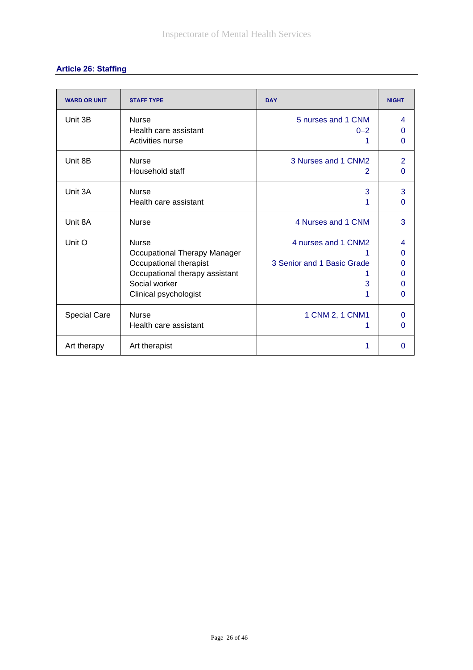# **Article 26: Staffing**

| <b>WARD OR UNIT</b> | <b>STAFF TYPE</b>                                                                                                                                  | <b>DAY</b>                                             | <b>NIGHT</b>                      |
|---------------------|----------------------------------------------------------------------------------------------------------------------------------------------------|--------------------------------------------------------|-----------------------------------|
| Unit 3B             | <b>Nurse</b><br>Health care assistant<br>Activities nurse                                                                                          | 5 nurses and 1 CNM<br>$0 - 2$                          | 4<br>0<br>$\Omega$                |
| Unit 8B             | <b>Nurse</b><br>Household staff                                                                                                                    | 3 Nurses and 1 CNM2<br>2                               | $\overline{2}$<br>0               |
| Unit 3A             | <b>Nurse</b><br>Health care assistant                                                                                                              | 3                                                      | 3<br>0                            |
| Unit 8A             | <b>Nurse</b>                                                                                                                                       | 4 Nurses and 1 CNM                                     | 3                                 |
| Unit O              | <b>Nurse</b><br>Occupational Therapy Manager<br>Occupational therapist<br>Occupational therapy assistant<br>Social worker<br>Clinical psychologist | 4 nurses and 1 CNM2<br>3 Senior and 1 Basic Grade<br>3 | 4<br>$\Omega$<br>0<br>O<br>O<br>0 |
| <b>Special Care</b> | <b>Nurse</b><br>Health care assistant                                                                                                              | 1 CNM 2, 1 CNM1                                        | $\Omega$<br>0                     |
| Art therapy         | Art therapist                                                                                                                                      |                                                        | 0                                 |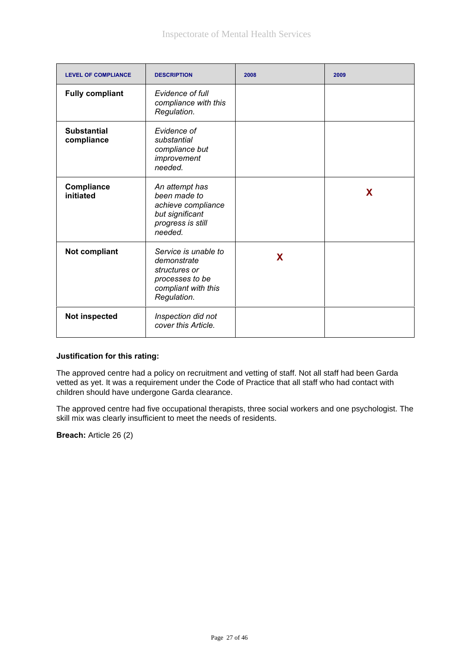| <b>LEVEL OF COMPLIANCE</b>       | <b>DESCRIPTION</b>                                                                                            | 2008 | 2009 |
|----------------------------------|---------------------------------------------------------------------------------------------------------------|------|------|
| <b>Fully compliant</b>           | Evidence of full<br>compliance with this<br>Regulation.                                                       |      |      |
| <b>Substantial</b><br>compliance | Evidence of<br>substantial<br>compliance but<br>improvement<br>needed.                                        |      |      |
| Compliance<br>initiated          | An attempt has<br>been made to<br>achieve compliance<br>but significant<br>progress is still<br>needed.       |      | X    |
| <b>Not compliant</b>             | Service is unable to<br>demonstrate<br>structures or<br>processes to be<br>compliant with this<br>Regulation. | X    |      |
| Not inspected                    | Inspection did not<br>cover this Article.                                                                     |      |      |

#### **Justification for this rating:**

The approved centre had a policy on recruitment and vetting of staff. Not all staff had been Garda vetted as yet. It was a requirement under the Code of Practice that all staff who had contact with children should have undergone Garda clearance.

The approved centre had five occupational therapists, three social workers and one psychologist. The skill mix was clearly insufficient to meet the needs of residents.

**Breach:** Article 26 (2)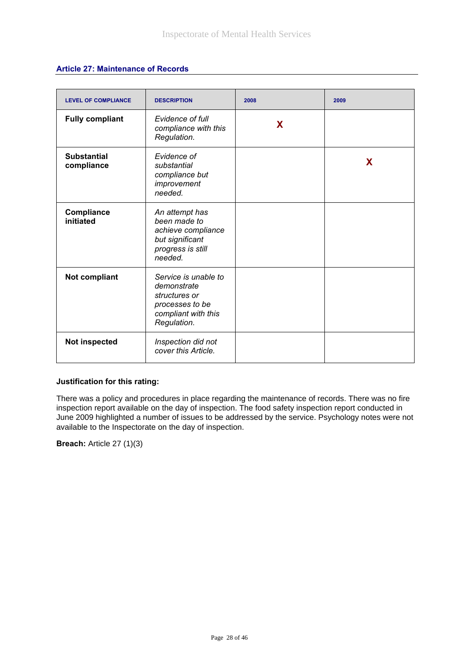### **Article 27: Maintenance of Records**

| <b>LEVEL OF COMPLIANCE</b>       | <b>DESCRIPTION</b>                                                                                            | 2008 | 2009 |
|----------------------------------|---------------------------------------------------------------------------------------------------------------|------|------|
| <b>Fully compliant</b>           | Evidence of full<br>compliance with this<br>Regulation.                                                       | X    |      |
| <b>Substantial</b><br>compliance | Evidence of<br>substantial<br>compliance but<br>improvement<br>needed.                                        |      | X    |
| Compliance<br>initiated          | An attempt has<br>been made to<br>achieve compliance<br>but significant<br>progress is still<br>needed.       |      |      |
| Not compliant                    | Service is unable to<br>demonstrate<br>structures or<br>processes to be<br>compliant with this<br>Regulation. |      |      |
| Not inspected                    | Inspection did not<br>cover this Article.                                                                     |      |      |

#### **Justification for this rating:**

There was a policy and procedures in place regarding the maintenance of records. There was no fire inspection report available on the day of inspection. The food safety inspection report conducted in June 2009 highlighted a number of issues to be addressed by the service. Psychology notes were not available to the Inspectorate on the day of inspection.

**Breach:** Article 27 (1)(3)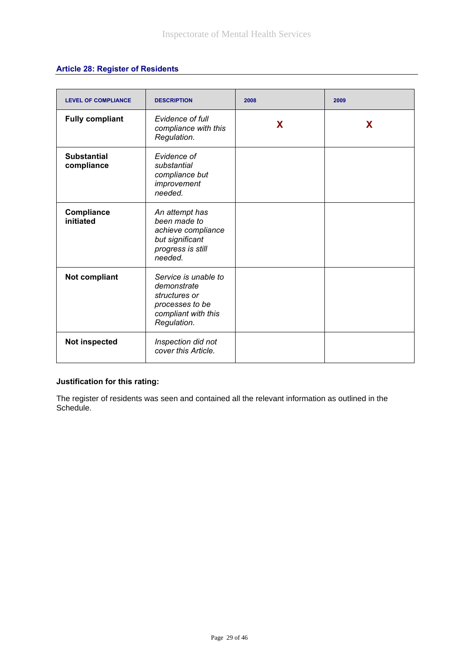# **Article 28: Register of Residents**

| <b>LEVEL OF COMPLIANCE</b>       | <b>DESCRIPTION</b>                                                                                            | 2008 | 2009 |
|----------------------------------|---------------------------------------------------------------------------------------------------------------|------|------|
| <b>Fully compliant</b>           | Evidence of full<br>compliance with this<br>Regulation.                                                       | X    | X    |
| <b>Substantial</b><br>compliance | Evidence of<br>substantial<br>compliance but<br>improvement<br>needed.                                        |      |      |
| Compliance<br>initiated          | An attempt has<br>been made to<br>achieve compliance<br>but significant<br>progress is still<br>needed.       |      |      |
| Not compliant                    | Service is unable to<br>demonstrate<br>structures or<br>processes to be<br>compliant with this<br>Regulation. |      |      |
| <b>Not inspected</b>             | Inspection did not<br>cover this Article.                                                                     |      |      |

# **Justification for this rating:**

The register of residents was seen and contained all the relevant information as outlined in the Schedule.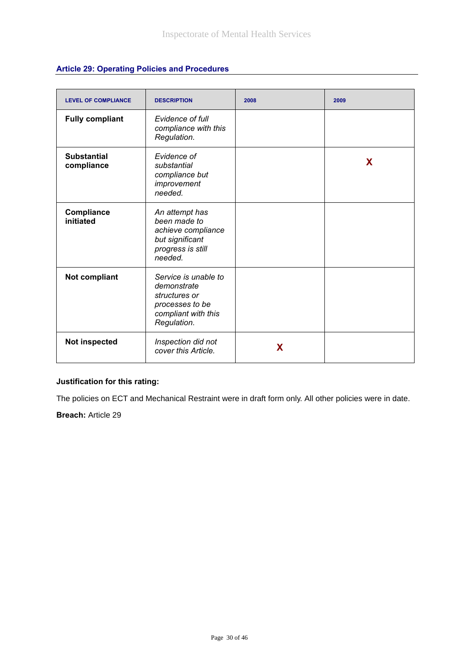| <b>LEVEL OF COMPLIANCE</b>       | <b>DESCRIPTION</b>                                                                                            | 2008 | 2009 |
|----------------------------------|---------------------------------------------------------------------------------------------------------------|------|------|
| <b>Fully compliant</b>           | Evidence of full<br>compliance with this<br>Regulation.                                                       |      |      |
| <b>Substantial</b><br>compliance | Evidence of<br>substantial<br>compliance but<br>improvement<br>needed.                                        |      | X    |
| Compliance<br>initiated          | An attempt has<br>been made to<br>achieve compliance<br>but significant<br>progress is still<br>needed.       |      |      |
| Not compliant                    | Service is unable to<br>demonstrate<br>structures or<br>processes to be<br>compliant with this<br>Regulation. |      |      |
| <b>Not inspected</b>             | Inspection did not<br>cover this Article.                                                                     | X    |      |

# **Justification for this rating:**

The policies on ECT and Mechanical Restraint were in draft form only. All other policies were in date.

**Breach:** Article 29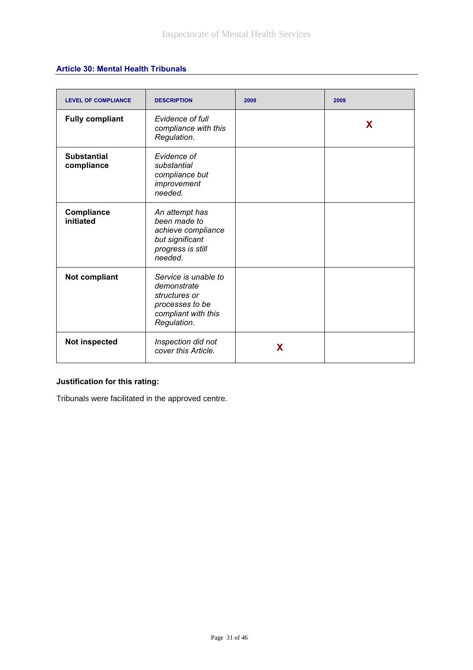## **Article 30: Mental Health Tribunals**

| <b>LEVEL OF COMPLIANCE</b>       | <b>DESCRIPTION</b>                                                                                            | 2008 | 2009 |
|----------------------------------|---------------------------------------------------------------------------------------------------------------|------|------|
| <b>Fully compliant</b>           | Evidence of full<br>compliance with this<br>Regulation.                                                       |      | X    |
| <b>Substantial</b><br>compliance | Evidence of<br>substantial<br>compliance but<br>improvement<br>needed.                                        |      |      |
| Compliance<br>initiated          | An attempt has<br>been made to<br>achieve compliance<br>but significant<br>progress is still<br>needed.       |      |      |
| <b>Not compliant</b>             | Service is unable to<br>demonstrate<br>structures or<br>processes to be<br>compliant with this<br>Regulation. |      |      |
| Not inspected                    | Inspection did not<br>cover this Article.                                                                     | X    |      |

# **Justification for this rating:**

Tribunals were facilitated in the approved centre.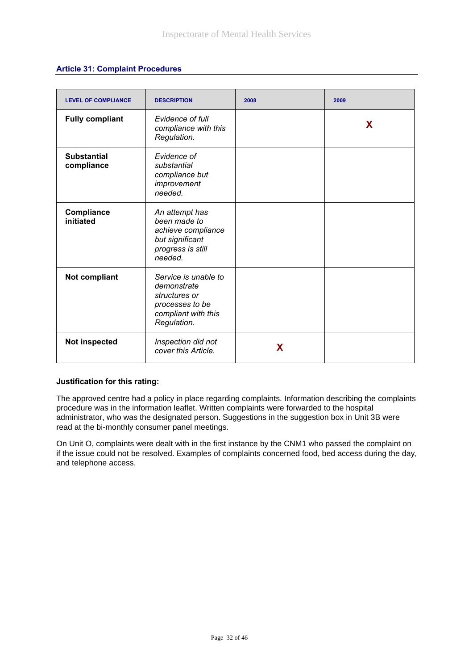|  |  |  | <b>Article 31: Complaint Procedures</b> |
|--|--|--|-----------------------------------------|
|--|--|--|-----------------------------------------|

| <b>LEVEL OF COMPLIANCE</b>       | <b>DESCRIPTION</b>                                                                                            | 2008 | 2009 |
|----------------------------------|---------------------------------------------------------------------------------------------------------------|------|------|
| <b>Fully compliant</b>           | Evidence of full<br>compliance with this<br>Regulation.                                                       |      | X    |
| <b>Substantial</b><br>compliance | Evidence of<br>substantial<br>compliance but<br>improvement<br>needed.                                        |      |      |
| Compliance<br>initiated          | An attempt has<br>been made to<br>achieve compliance<br>but significant<br>progress is still<br>needed.       |      |      |
| <b>Not compliant</b>             | Service is unable to<br>demonstrate<br>structures or<br>processes to be<br>compliant with this<br>Regulation. |      |      |
| Not inspected                    | Inspection did not<br>cover this Article.                                                                     | X    |      |

#### **Justification for this rating:**

The approved centre had a policy in place regarding complaints. Information describing the complaints procedure was in the information leaflet. Written complaints were forwarded to the hospital administrator, who was the designated person. Suggestions in the suggestion box in Unit 3B were read at the bi-monthly consumer panel meetings.

On Unit O, complaints were dealt with in the first instance by the CNM1 who passed the complaint on if the issue could not be resolved. Examples of complaints concerned food, bed access during the day, and telephone access.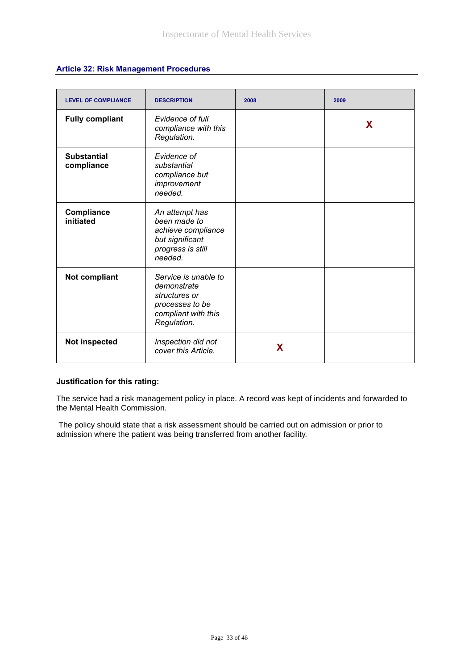|  | <b>Article 32: Risk Management Procedures</b> |  |
|--|-----------------------------------------------|--|
|--|-----------------------------------------------|--|

| <b>LEVEL OF COMPLIANCE</b>       | <b>DESCRIPTION</b>                                                                                            | 2008 | 2009 |
|----------------------------------|---------------------------------------------------------------------------------------------------------------|------|------|
| <b>Fully compliant</b>           | Evidence of full<br>compliance with this<br>Regulation.                                                       |      | X    |
| <b>Substantial</b><br>compliance | Evidence of<br>substantial<br>compliance but<br>improvement<br>needed.                                        |      |      |
| Compliance<br>initiated          | An attempt has<br>been made to<br>achieve compliance<br>but significant<br>progress is still<br>needed.       |      |      |
| Not compliant                    | Service is unable to<br>demonstrate<br>structures or<br>processes to be<br>compliant with this<br>Regulation. |      |      |
| Not inspected                    | Inspection did not<br>cover this Article.                                                                     | X    |      |

#### **Justification for this rating:**

The service had a risk management policy in place. A record was kept of incidents and forwarded to the Mental Health Commission.

 The policy should state that a risk assessment should be carried out on admission or prior to admission where the patient was being transferred from another facility.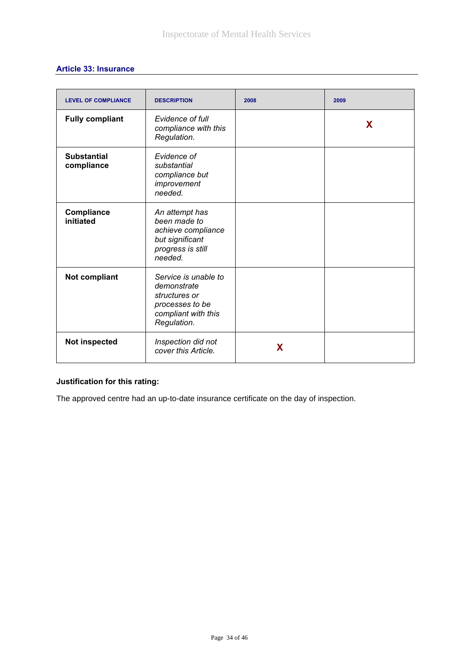# **Article 33: Insurance**

| <b>LEVEL OF COMPLIANCE</b>       | <b>DESCRIPTION</b>                                                                                            | 2008 | 2009 |
|----------------------------------|---------------------------------------------------------------------------------------------------------------|------|------|
| <b>Fully compliant</b>           | Evidence of full<br>compliance with this<br>Regulation.                                                       |      | X    |
| <b>Substantial</b><br>compliance | Evidence of<br>substantial<br>compliance but<br>improvement<br>needed.                                        |      |      |
| Compliance<br>initiated          | An attempt has<br>been made to<br>achieve compliance<br>but significant<br>progress is still<br>needed.       |      |      |
| Not compliant                    | Service is unable to<br>demonstrate<br>structures or<br>processes to be<br>compliant with this<br>Regulation. |      |      |
| <b>Not inspected</b>             | Inspection did not<br>cover this Article.                                                                     | X    |      |

# **Justification for this rating:**

The approved centre had an up-to-date insurance certificate on the day of inspection.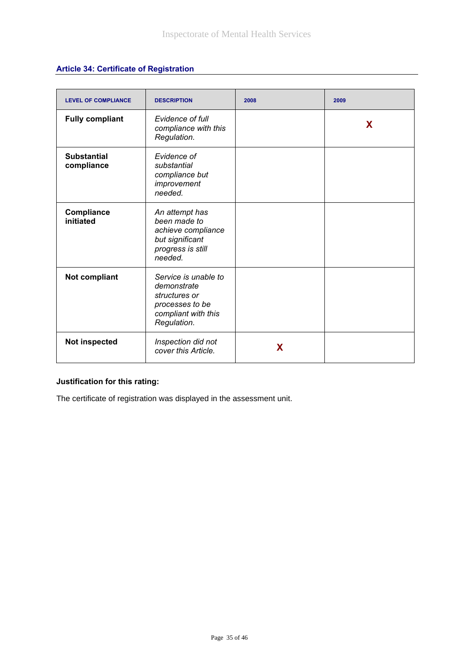# **Article 34: Certificate of Registration**

| <b>LEVEL OF COMPLIANCE</b>       | <b>DESCRIPTION</b>                                                                                            | 2008 | 2009 |
|----------------------------------|---------------------------------------------------------------------------------------------------------------|------|------|
| <b>Fully compliant</b>           | Evidence of full<br>compliance with this<br>Regulation.                                                       |      | X    |
| <b>Substantial</b><br>compliance | Evidence of<br>substantial<br>compliance but<br>improvement<br>needed.                                        |      |      |
| Compliance<br>initiated          | An attempt has<br>been made to<br>achieve compliance<br>but significant<br>progress is still<br>needed.       |      |      |
| Not compliant                    | Service is unable to<br>demonstrate<br>structures or<br>processes to be<br>compliant with this<br>Regulation. |      |      |
| Not inspected                    | Inspection did not<br>cover this Article.                                                                     | X    |      |

# **Justification for this rating:**

The certificate of registration was displayed in the assessment unit.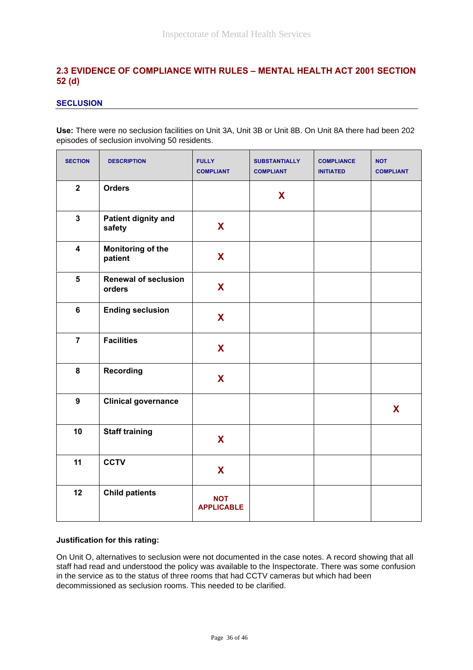# **2.3 EVIDENCE OF COMPLIANCE WITH RULES – MENTAL HEALTH ACT 2001 SECTION 52 (d)**

### **SECLUSION**

**Use:** There were no seclusion facilities on Unit 3A, Unit 3B or Unit 8B. On Unit 8A there had been 202 episodes of seclusion involving 50 residents.

| <b>SECTION</b>          | <b>DESCRIPTION</b>                    | <b>FULLY</b><br><b>COMPLIANT</b> | <b>SUBSTANTIALLY</b><br><b>COMPLIANT</b> | <b>COMPLIANCE</b><br><b>INITIATED</b> | <b>NOT</b><br><b>COMPLIANT</b> |
|-------------------------|---------------------------------------|----------------------------------|------------------------------------------|---------------------------------------|--------------------------------|
| $\overline{2}$          | <b>Orders</b>                         |                                  | X                                        |                                       |                                |
| $\mathbf{3}$            | <b>Patient dignity and</b><br>safety  | X                                |                                          |                                       |                                |
| $\overline{\mathbf{4}}$ | <b>Monitoring of the</b><br>patient   | X                                |                                          |                                       |                                |
| $5\phantom{a}$          | <b>Renewal of seclusion</b><br>orders | X                                |                                          |                                       |                                |
| $6\phantom{a}$          | <b>Ending seclusion</b>               | X                                |                                          |                                       |                                |
| $\overline{7}$          | <b>Facilities</b>                     | X                                |                                          |                                       |                                |
| 8                       | <b>Recording</b>                      | X                                |                                          |                                       |                                |
| 9                       | <b>Clinical governance</b>            |                                  |                                          |                                       | X                              |
| 10                      | <b>Staff training</b>                 | X                                |                                          |                                       |                                |
| 11                      | <b>CCTV</b>                           | X                                |                                          |                                       |                                |
| 12                      | <b>Child patients</b>                 | <b>NOT</b><br><b>APPLICABLE</b>  |                                          |                                       |                                |

#### **Justification for this rating:**

On Unit O, alternatives to seclusion were not documented in the case notes. A record showing that all staff had read and understood the policy was available to the Inspectorate. There was some confusion in the service as to the status of three rooms that had CCTV cameras but which had been decommissioned as seclusion rooms. This needed to be clarified.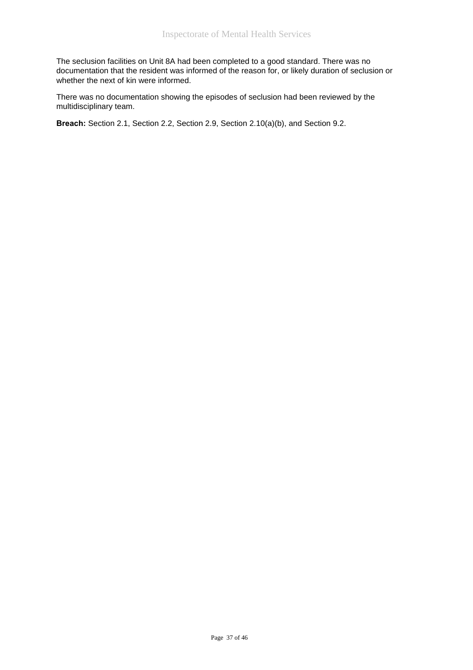The seclusion facilities on Unit 8A had been completed to a good standard. There was no documentation that the resident was informed of the reason for, or likely duration of seclusion or whether the next of kin were informed.

There was no documentation showing the episodes of seclusion had been reviewed by the multidisciplinary team.

**Breach:** Section 2.1, Section 2.2, Section 2.9, Section 2.10(a)(b), and Section 9.2.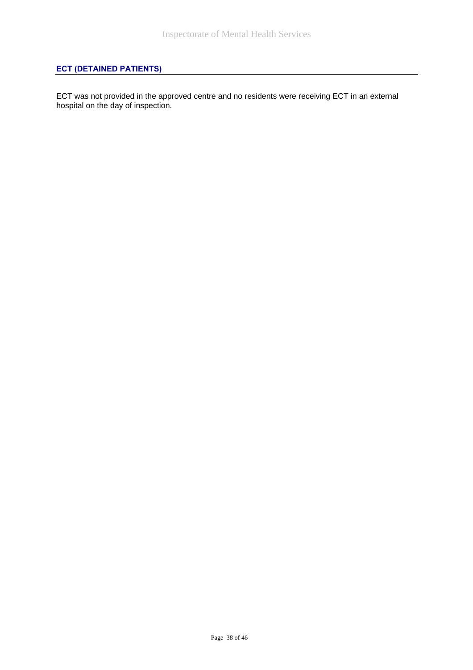# **ECT (DETAINED PATIENTS)**

ECT was not provided in the approved centre and no residents were receiving ECT in an external hospital on the day of inspection.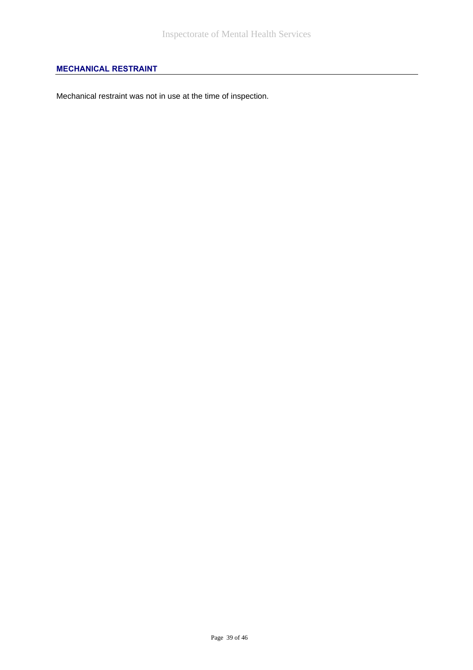# **MECHANICAL RESTRAINT**

Mechanical restraint was not in use at the time of inspection.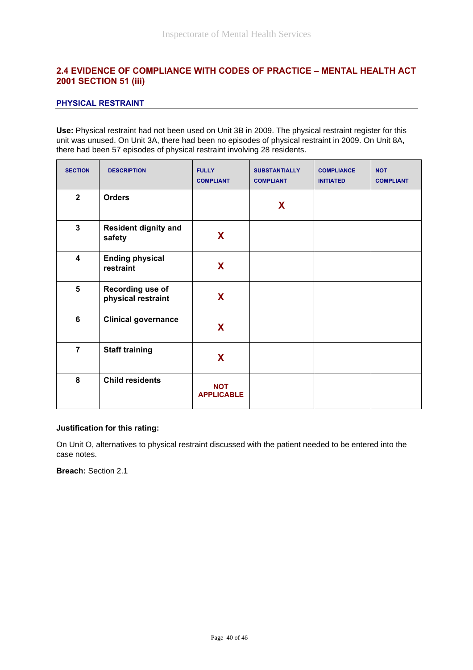# **2.4 EVIDENCE OF COMPLIANCE WITH CODES OF PRACTICE – MENTAL HEALTH ACT 2001 SECTION 51 (iii)**

#### **PHYSICAL RESTRAINT**

**Use:** Physical restraint had not been used on Unit 3B in 2009. The physical restraint register for this unit was unused. On Unit 3A, there had been no episodes of physical restraint in 2009. On Unit 8A, there had been 57 episodes of physical restraint involving 28 residents.

| <b>SECTION</b>          | <b>DESCRIPTION</b>                     | <b>FULLY</b><br><b>COMPLIANT</b> | <b>SUBSTANTIALLY</b><br><b>COMPLIANT</b> | <b>COMPLIANCE</b><br><b>INITIATED</b> | <b>NOT</b><br><b>COMPLIANT</b> |
|-------------------------|----------------------------------------|----------------------------------|------------------------------------------|---------------------------------------|--------------------------------|
| $\mathbf{2}$            | <b>Orders</b>                          |                                  | X                                        |                                       |                                |
| $\mathbf{3}$            | <b>Resident dignity and</b><br>safety  | X                                |                                          |                                       |                                |
| $\overline{\mathbf{4}}$ | <b>Ending physical</b><br>restraint    | X                                |                                          |                                       |                                |
| $5\phantom{1}$          | Recording use of<br>physical restraint | X                                |                                          |                                       |                                |
| 6                       | <b>Clinical governance</b>             | X                                |                                          |                                       |                                |
| $\overline{7}$          | <b>Staff training</b>                  | X                                |                                          |                                       |                                |
| 8                       | <b>Child residents</b>                 | <b>NOT</b><br><b>APPLICABLE</b>  |                                          |                                       |                                |

#### **Justification for this rating:**

On Unit O, alternatives to physical restraint discussed with the patient needed to be entered into the case notes.

**Breach:** Section 2.1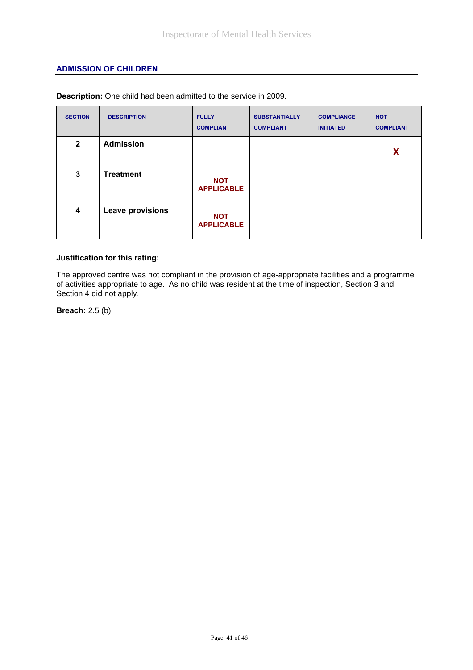### **ADMISSION OF CHILDREN**

| <b>SECTION</b> | <b>DESCRIPTION</b>      | <b>FULLY</b><br><b>COMPLIANT</b> | <b>SUBSTANTIALLY</b><br><b>COMPLIANT</b> | <b>COMPLIANCE</b><br><b>INITIATED</b> | <b>NOT</b><br><b>COMPLIANT</b> |
|----------------|-------------------------|----------------------------------|------------------------------------------|---------------------------------------|--------------------------------|
| $\mathbf{2}$   | <b>Admission</b>        |                                  |                                          |                                       | X                              |
| 3              | <b>Treatment</b>        | <b>NOT</b><br><b>APPLICABLE</b>  |                                          |                                       |                                |
| 4              | <b>Leave provisions</b> | <b>NOT</b><br><b>APPLICABLE</b>  |                                          |                                       |                                |

**Description:** One child had been admitted to the service in 2009.

### **Justification for this rating:**

The approved centre was not compliant in the provision of age-appropriate facilities and a programme of activities appropriate to age. As no child was resident at the time of inspection, Section 3 and Section 4 did not apply.

**Breach:** 2.5 (b)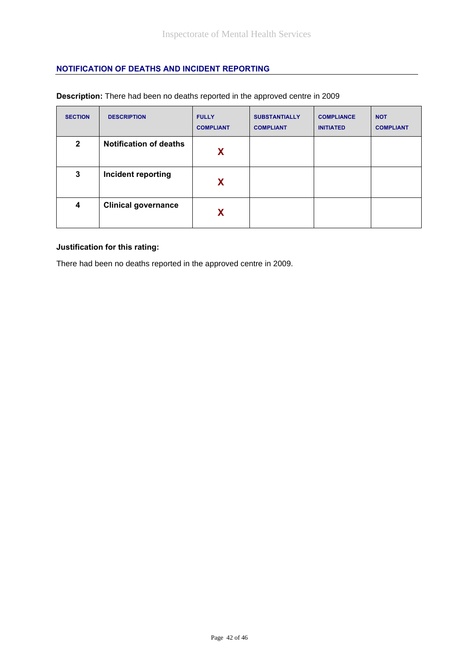### **NOTIFICATION OF DEATHS AND INCIDENT REPORTING**

| <b>SECTION</b> | <b>DESCRIPTION</b>            | <b>FULLY</b><br><b>COMPLIANT</b> | <b>SUBSTANTIALLY</b><br><b>COMPLIANT</b> | <b>COMPLIANCE</b><br><b>INITIATED</b> | <b>NOT</b><br><b>COMPLIANT</b> |
|----------------|-------------------------------|----------------------------------|------------------------------------------|---------------------------------------|--------------------------------|
| $\mathbf{2}$   | <b>Notification of deaths</b> | X                                |                                          |                                       |                                |
| 3              | Incident reporting            | X                                |                                          |                                       |                                |
| 4              | <b>Clinical governance</b>    | X                                |                                          |                                       |                                |

### **Description:** There had been no deaths reported in the approved centre in 2009

#### **Justification for this rating:**

There had been no deaths reported in the approved centre in 2009.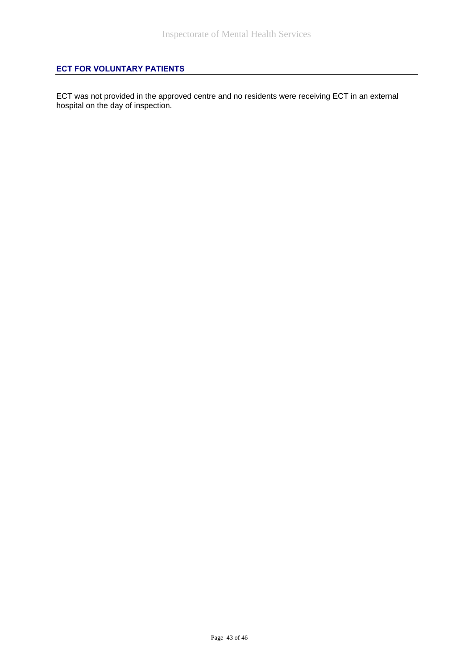# **ECT FOR VOLUNTARY PATIENTS**

ECT was not provided in the approved centre and no residents were receiving ECT in an external hospital on the day of inspection.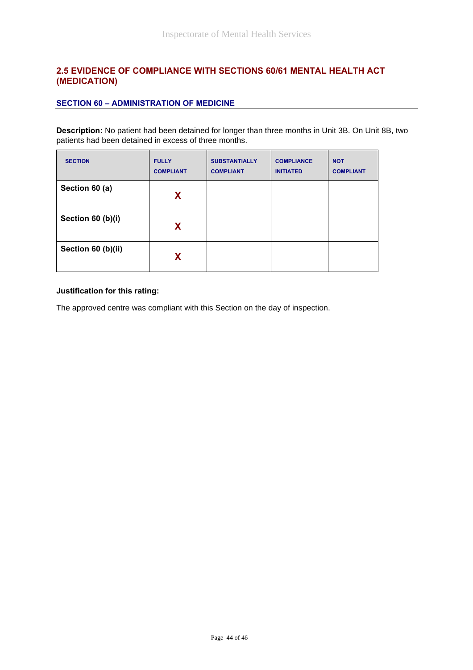# **2.5 EVIDENCE OF COMPLIANCE WITH SECTIONS 60/61 MENTAL HEALTH ACT (MEDICATION)**

### **SECTION 60 – ADMINISTRATION OF MEDICINE**

**Description:** No patient had been detained for longer than three months in Unit 3B. On Unit 8B, two patients had been detained in excess of three months.

| <b>SECTION</b>     | <b>FULLY</b><br><b>COMPLIANT</b> | <b>SUBSTANTIALLY</b><br><b>COMPLIANT</b> | <b>COMPLIANCE</b><br><b>INITIATED</b> | <b>NOT</b><br><b>COMPLIANT</b> |
|--------------------|----------------------------------|------------------------------------------|---------------------------------------|--------------------------------|
| Section 60 (a)     | X                                |                                          |                                       |                                |
| Section 60 (b)(i)  | X                                |                                          |                                       |                                |
| Section 60 (b)(ii) | X                                |                                          |                                       |                                |

#### **Justification for this rating:**

The approved centre was compliant with this Section on the day of inspection.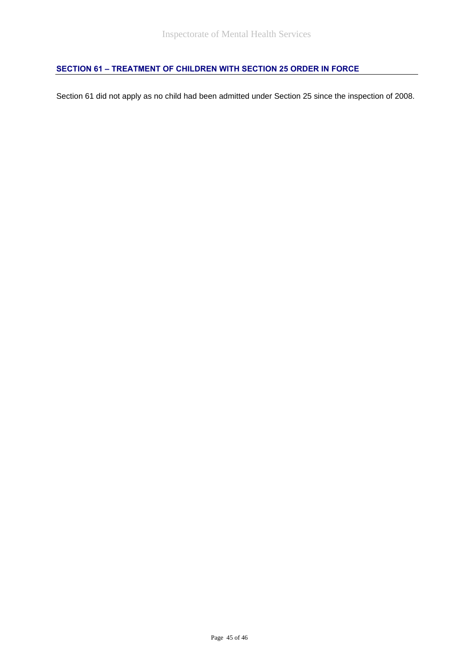# **SECTION 61 – TREATMENT OF CHILDREN WITH SECTION 25 ORDER IN FORCE**

Section 61 did not apply as no child had been admitted under Section 25 since the inspection of 2008.